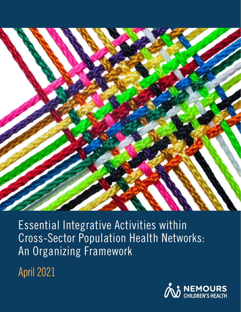

Essential Integrative Activities within Cross-Sector Population Health Networks: An Organizing Framework

April 2021

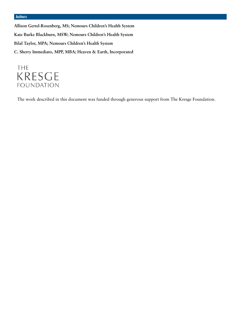#### **Authors**

**Allison Gertel-Rosenberg, MS; Nemours Children's Health System Kate Burke Blackburn, MSW; Nemours Children's Health System Bilal Taylor, MPA; Nemours Children's Health System C. Sherry Immediato, MPP, MBA; Heaven & Earth, Incorporated**

# THE **KRESGE FOUNDATION**

The work described in this document was funded through generous support from The Kresge Foundation.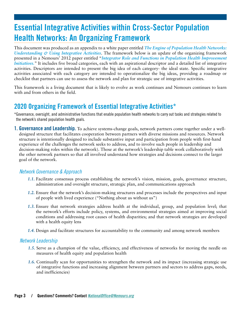# **Essential Integrative Activities within Cross-Sector Population Health Networks: An Organizing Framework**

This document was produced as an appendix to a white paper entitled *The Engine of Population Health Networks: Understanding & Using Integrative Activities*. The framework below is an update of the organizing framework presented in a Nemours' 2012 paper entitled "*[Integrator Role and Functions in Population Health Improvement](https://www.movinghealthcareupstream.org/wp-content/uploads/2018/06/Integrator.role_.in_.pop_.health.improvement.initiatives-2.pdf) [Initiatives.](https://www.movinghealthcareupstream.org/wp-content/uploads/2018/06/Integrator.role_.in_.pop_.health.improvement.initiatives-2.pdf)*" It includes five broad categories, each with an aspirational descriptor and a detailed list of integrative activities. Descriptors are intended to present the big idea of each category- the ideal state. Specific integrative activities associated with each category are intended to operationalize the big ideas, providing a roadmap or checklist that partners can use to assess the network and plan for strategic use of integrative activities.

This framework is a living document that is likely to evolve as work continues and Nemours continues to learn with and from others in the field.

# **2020 Organizing Framework of Essential Integrative Activities\***

\*Governance, oversight, and administrative functions that enable population health networks to carry out tasks and strategies related to the network's shared population health goals.

**1. Governance and Leadership.** To achieve systems-change goals, network partners come together under a welldesigned structure that facilitates cooperation between partners with diverse missions and resources. Network structure is intentionally designed to include substantive input and participation from people with first-hand experience of the challenges the network seeks to address, and to involve such people in leadership and decision-making roles within the network). Those at the network's leadership table work collaboratively with the other network partners so that all involved understand how strategies and decisions connect to the larger goal of the network.

# *Network Governance & Approach*

- *1.1.* Facilitate consensus process establishing the network's vision, mission, goals, governance structure, administration and oversight structure, strategic plan, and communications approach
- *1.2.* Ensure that the network's decision-making structures and processes include the perspectives and input of people with lived experience ("Nothing about us without us")
- *1.3.* Ensure that network strategies address health at the individual, group, and population level; that the network's efforts include policy, systems, and environmental strategies aimed at improving social conditions and addressing root causes of health disparities; and that network strategies are developed with a health equity lens
- *1.4.* Design and facilitate structures for accountability to the community and among network members

#### *Network Leadership*

- *1.5.* Serve as a champion of the value, efficiency, and effectiveness of networks for moving the needle on measures of health equity and population health
- *1.6.* Continually scan for opportunities to strengthen the network and its impact (increasing strategic use of integrative functions and increasing alignment between partners and sectors to address gaps, needs, and inefficiencies)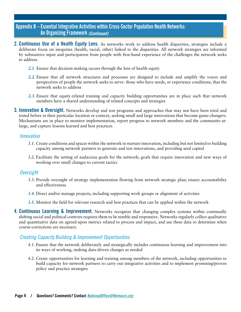# **Appendix B – Essential Integrative Activities within Cross-Sector Population Health Networks: An Organizing Framework** *(Continued)*

- **2. Continuous Use of a Health Equity Lens.** As networks work to address health disparities, strategies include a deliberate focus on inequities (health, racial, other) linked to the disparities. All network strategies are informed by substantive input and participation from people with first-hand experience of the challenges the network seeks to address.
	- *2.1.* Ensure that decision-making occurs through the lens of health equity
	- *2.2.* Ensure that all network structures and processes are designed to include and amplify the voices and perspectives of people the network seeks to serve- those who have needs, or experience conditions, that the network seeks to address
	- *2.3.* Ensure that equity-related training and capacity building opportunities are in place such that network members have a shared understanding of related concepts and strategies
- **3. Innovation & Oversight.** Networks develop and test programs and approaches that may not have been tried and tested before in their particular location or context, seeking small and large innovations that become game-changers. Mechanisms are in place to monitor implementation, report progress to network members and the community-atlarge, and capture lessons learned and best practices.

#### *Innovation*

- *3.1.* Create conditions and spaces within the network to nurture innovation, including but not limited to building capacity among network partners to generate and test innovations, and providing seed capital
- *3.2.* Facilitate the setting of audacious goals for the network; goals that require innovation and new ways of working over small changes to current tactics

#### *Oversight*

- *3.3.* Provide oversight of strategy implementation flowing from network strategic plan; ensure accountability and effectiveness
- *3.4.* Direct and/or manage projects, including supporting work groups or alignment of activities
- *3.5.* Monitor the field for relevant research and best practices that can be applied within the network
- **4. Continuous Learning & Improvement.** Networks recognize that changing complex systems within continually shifting social and political contexts requires them to be nimble and responsive. Networks regularly collect qualitative and quantitative data on agreed-upon metrics related to process and impact, and use these data to determine when course-corrections are necessary.

# *Creating Capacity Building & Improvement Opportunities*

- *4.1.* Ensure that the network deliberately and strategically includes continuous learning and improvement into its ways of working, making data-driven changes as needed
- *4.2.* Create opportunities for learning and training among members of the network, including opportunities to build capacity for network partners to carry out integrative activities and to implement promising/proven policy and practice strategies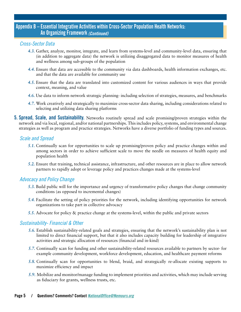# **Appendix B – Essential Integrative Activities within Cross-Sector Population Health Networks: An Organizing Framework** *(Continued)*

# *Cross-Sector Data*

- *4.3.* Gather, analyze, monitor, integrate, and learn from systems-level and community-level data, ensuring that (in addition to aggregate data) the network is utilizing disaggregated data to monitor measures of health and wellness among sub-groups of the population
- *4.4.* Ensure that data are accessible to the community via data dashboards, health information exchanges, etc. and that the data are available for community use
- *4.5.* Ensure that the data are translated into customized content for various audiences in ways that provide context, meaning, and value
- *4.6.* Use data to inform network strategic planning- including selection of strategies, measures, and benchmarks
- *4.7.* Work creatively and strategically to maximize cross-sector data sharing, including considerations related to selecting and utilizing data sharing platforms
- **5. Spread, Scale, and Sustainability.** Networks routinely spread and scale promising/proven strategies within the network and via local, regional, and/or national partnerships. This includes policy, systems, and environmental change strategies as well as program and practice strategies. Networks have a diverse portfolio of funding types and sources.

# *Scale and Spread*

- *5.1.* Continually scan for opportunities to scale up promising/proven policy and practice changes within and among sectors in order to achieve sufficient scale to move the needle on measures of health equity and population health
- *5.2.* Ensure that training, technical assistance, infrastructure, and other resources are in place to allow network partners to rapidly adopt or leverage policy and practices changes made at the systems-level

# *Advocacy and Policy Change*

- *5.3.* Build public will for the importance and urgency of transformative policy changes that change community conditions (as opposed to incremental changes)
- *5.4.* Facilitate the setting of policy priorities for the network, including identifying opportunities for network organizations to take part in collective advocacy
- *5.5.* Advocate for policy & practice change at the systems-level, within the public and private sectors

# *Sustainability- Financial & Other*

- *5.6.* Establish sustainability-related goals and strategies, ensuring that the network's sustainability plan is not limited to direct financial support, but that it also includes capacity building for leadership of integrative activities and strategic allocation of resources (financial and in-kind)
- *5.7.* Continually scan for funding and other sustainability-related resources available to partners by sector- for example community development, workforce development, education, and healthcare payment reforms
- *5.8.* Continually scan for opportunities to blend, braid, and strategically re-allocate existing supports to maximize efficiency and impact
- *5.9.* Mobilize and monitor/manage funding to implement priorities and activities, which may include serving as fiduciary for grants, wellness trusts, etc.